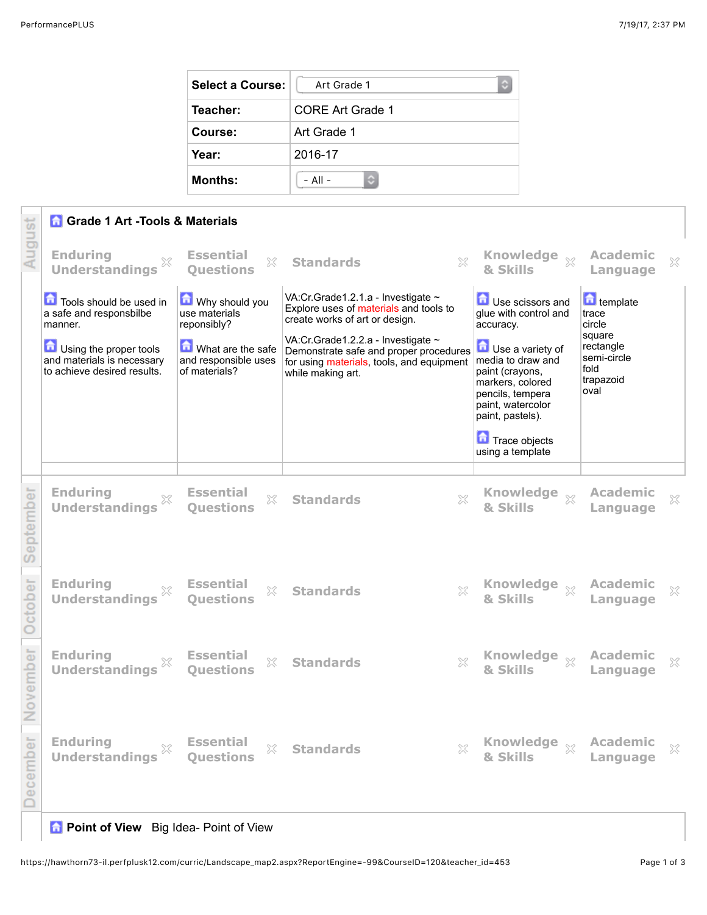| Select a Course: | Art Grade 1<br>O.       |  |  |
|------------------|-------------------------|--|--|
| Teacher:         | <b>CORE Art Grade 1</b> |  |  |
| Course:          | Art Grade 1             |  |  |
| Year:            | 2016-17                 |  |  |
| <b>Months:</b>   | $-$ All $-$             |  |  |

|           | <b>Grade 1 Art -Tools &amp; Materials</b>                                                                                                            |                                                                                                              |                                                                                                                                                                                                                                                                  |                                                                                                                                                                                 |                                                                                                |        |  |  |
|-----------|------------------------------------------------------------------------------------------------------------------------------------------------------|--------------------------------------------------------------------------------------------------------------|------------------------------------------------------------------------------------------------------------------------------------------------------------------------------------------------------------------------------------------------------------------|---------------------------------------------------------------------------------------------------------------------------------------------------------------------------------|------------------------------------------------------------------------------------------------|--------|--|--|
| August    | <b>Enduring</b><br>×<br><b>Understandings</b>                                                                                                        | <b>Essential</b><br>X<br><b>Questions</b>                                                                    | $\boldsymbol{\mathsf{X}}$<br><b>Standards</b>                                                                                                                                                                                                                    | Knowledge xx<br>& Skills                                                                                                                                                        | <b>Academic</b><br>Language                                                                    | X      |  |  |
|           | Tools should be used in<br>a safe and responsbilbe<br>manner.<br>Using the proper tools<br>and materials is necessary<br>to achieve desired results. | Why should you<br>use materials<br>reponsibly?<br>What are the safe<br>and responsible uses<br>of materials? | VA:Cr.Grade1.2.1.a - Investigate ~<br>Explore uses of materials and tools to<br>create works of art or design.<br>VA:Cr.Grade1.2.2.a - Investigate ~<br>Demonstrate safe and proper procedures<br>for using materials, tools, and equipment<br>while making art. | Use scissors and<br>glue with control and<br>accuracy.<br>Use a variety of<br>media to draw and<br>paint (crayons,<br>markers, colored<br>pencils, tempera<br>paint, watercolor | template<br>trace<br>circle<br>square<br>rectangle<br>semi-circle<br>fold<br>trapazoid<br>oval |        |  |  |
|           |                                                                                                                                                      |                                                                                                              |                                                                                                                                                                                                                                                                  | paint, pastels).<br>Trace objects<br>using a template                                                                                                                           |                                                                                                |        |  |  |
| September | <b>Enduring</b><br><b>Understandings</b>                                                                                                             | <b>Essential</b><br>X<br><b>Ouestions</b>                                                                    | $\gtrsim$<br><b>Standards</b>                                                                                                                                                                                                                                    | <b>Knowledge</b><br>$\overline{\chi}$<br>& Skills                                                                                                                               | <b>Academic</b><br>Language                                                                    | ×      |  |  |
| October   | <b>Enduring</b><br><b>Understandings</b>                                                                                                             | <b>Essential</b><br>$\chi$<br>Questions                                                                      | $\boldsymbol{\mathsf{X}}$<br><b>Standards</b>                                                                                                                                                                                                                    | & Skills                                                                                                                                                                        | <b>Academic</b><br>Language                                                                    | $\chi$ |  |  |
| November  | <b>Enduring</b><br><b>Understandings</b>                                                                                                             | <b>Essential</b><br>53<br><b>Ouestions</b>                                                                   | <b>Standards</b><br>X                                                                                                                                                                                                                                            | <b>Knowledge</b><br>$\chi$<br>& Skills                                                                                                                                          | <b>Academic</b><br>Language                                                                    | X      |  |  |
| December  | <b>Enduring</b><br><b>Understandings</b>                                                                                                             | <b>Essential</b><br>$\gtrsim$<br><b>Questions</b>                                                            | $\mathbb{X}$<br><b>Standards</b>                                                                                                                                                                                                                                 | <b>Knowledge</b><br>$\chi$<br>& Skills                                                                                                                                          | <b>Academic</b><br>Language                                                                    | $\chi$ |  |  |

## **A** Point of View Big Idea- Point of View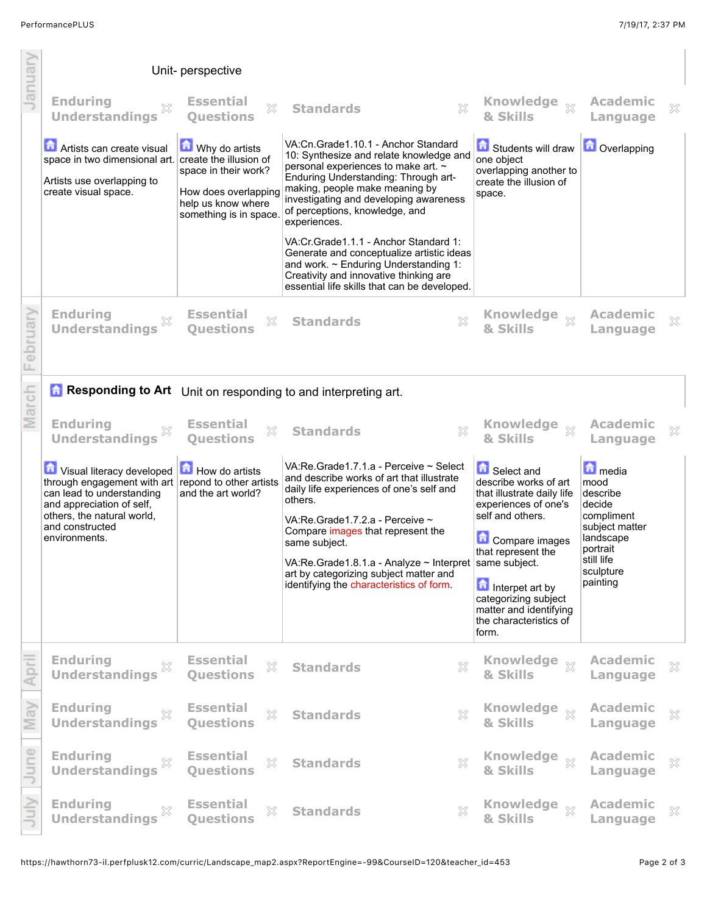| anua  |                                                                                                                                                                                                              | Unit- perspective                                                                                              |                                                                                                                                                                                                                                                                                                                                         |                                                                                                                                                                        |                                                                                                            |   |
|-------|--------------------------------------------------------------------------------------------------------------------------------------------------------------------------------------------------------------|----------------------------------------------------------------------------------------------------------------|-----------------------------------------------------------------------------------------------------------------------------------------------------------------------------------------------------------------------------------------------------------------------------------------------------------------------------------------|------------------------------------------------------------------------------------------------------------------------------------------------------------------------|------------------------------------------------------------------------------------------------------------|---|
|       | <b>Enduring</b><br>×<br><b>Understandings</b>                                                                                                                                                                | <b>Essential</b><br>X<br><b>Ouestions</b>                                                                      | $\chi$<br><b>Standards</b>                                                                                                                                                                                                                                                                                                              | <b>Knowledge</b><br>$\chi$<br>& Skills                                                                                                                                 | <b>Academic</b><br>Language                                                                                | X |
|       | Artists can create visual<br>space in two dimensional art. create the illusion of<br>Artists use overlapping to<br>create visual space.                                                                      | Why do artists<br>space in their work?<br>How does overlapping<br>help us know where<br>something is in space. | VA:Cn.Grade1.10.1 - Anchor Standard<br>10: Synthesize and relate knowledge and<br>personal experiences to make art. ~<br>Enduring Understanding: Through art-<br>making, people make meaning by<br>investigating and developing awareness<br>of perceptions, knowledge, and<br>experiences.<br>VA: Cr. Grade 1.1.1 - Anchor Standard 1: | Students will draw<br>one object<br>overlapping another to<br>create the illusion of<br>space.                                                                         | <b>D</b> Overlapping                                                                                       |   |
|       |                                                                                                                                                                                                              |                                                                                                                | Generate and conceptualize artistic ideas<br>and work. $\sim$ Enduring Understanding 1:<br>Creativity and innovative thinking are<br>essential life skills that can be developed.                                                                                                                                                       |                                                                                                                                                                        |                                                                                                            |   |
| oruan | <b>Enduring</b><br>×<br><b>Understandings</b>                                                                                                                                                                | <b>Essential</b><br>X<br><b>Ouestions</b>                                                                      | X<br><b>Standards</b>                                                                                                                                                                                                                                                                                                                   | Knowledge xx<br>& Skills                                                                                                                                               | <b>Academic</b><br>Language                                                                                | X |
|       | <b>Responding to Art</b> Unit on responding to and interpreting art.                                                                                                                                         |                                                                                                                |                                                                                                                                                                                                                                                                                                                                         |                                                                                                                                                                        |                                                                                                            |   |
| Marc  | <b>Enduring</b><br><b>Understandings</b>                                                                                                                                                                     | <b>Essential</b><br>X<br><b>Questions</b>                                                                      | X<br><b>Standards</b>                                                                                                                                                                                                                                                                                                                   | <b>Knowledge</b><br>$\mathbb{X}$<br>& Skills                                                                                                                           | <b>Academic</b><br>Language                                                                                | X |
|       | Visual literacy developed<br>through engagement with art repond to other artists<br>can lead to understanding<br>and appreciation of self,<br>others, the natural world,<br>and constructed<br>environments. | How do artists<br>and the art world?                                                                           | VA:Re.Grade1.7.1.a - Perceive ~ Select<br>and describe works of art that illustrate<br>daily life experiences of one's self and<br>others.<br>VA:Re.Grade1.7.2.a - Perceive ~<br>Compare images that represent the<br>same subject.<br>VA:Re.Grade1.8.1.a - Analyze ~ Interpret                                                         | Select and<br>describe works of art<br>that illustrate daily life<br>experiences of one's<br>self and others.<br>Compare images<br>that represent the<br>same subject. | media<br>mood<br>describe<br>decide<br>compliment<br>subject matter<br>landscape<br>portrait<br>still life |   |
|       |                                                                                                                                                                                                              |                                                                                                                | art by categorizing subject matter and<br>identifying the characteristics of form.                                                                                                                                                                                                                                                      | Interpet art by<br>categorizing subject<br>matter and identifying<br>the characteristics of<br>form.                                                                   | sculpture<br>painting                                                                                      |   |
|       | <b>Enduring</b><br>X<br><b>Understandings</b>                                                                                                                                                                | <b>Essential</b><br>X<br><b>Ouestions</b>                                                                      | X<br><b>Standards</b>                                                                                                                                                                                                                                                                                                                   | <b>Knowledge</b><br>$\chi$<br>& Skills                                                                                                                                 | <b>Academic</b><br>Language                                                                                | × |
| ನ     | <b>Enduring</b><br><b>Understandings</b>                                                                                                                                                                     | <b>Essential</b><br>$\gtrsim$<br><b>Questions</b>                                                              | ×<br><b>Standards</b>                                                                                                                                                                                                                                                                                                                   | <b>Knowledge</b><br>$\mathbb{X}$<br>& Skills                                                                                                                           | <b>Academic</b><br>Language                                                                                | × |
| une   | <b>Enduring</b><br><b>Understandings</b>                                                                                                                                                                     | <b>Essential</b><br>$\gtrsim$<br><b>Questions</b>                                                              | X<br><b>Standards</b>                                                                                                                                                                                                                                                                                                                   | <b>Knowledge</b><br>$\chi$<br>& Skills                                                                                                                                 | <b>Academic</b><br>Language                                                                                | × |
|       | <b>Enduring</b><br><b>Understandings</b>                                                                                                                                                                     | <b>Essential</b><br>X<br><b>Questions</b>                                                                      | $\mathbb{X}$<br><b>Standards</b>                                                                                                                                                                                                                                                                                                        | & Skills                                                                                                                                                               | <b>Academic</b><br>Language                                                                                | X |